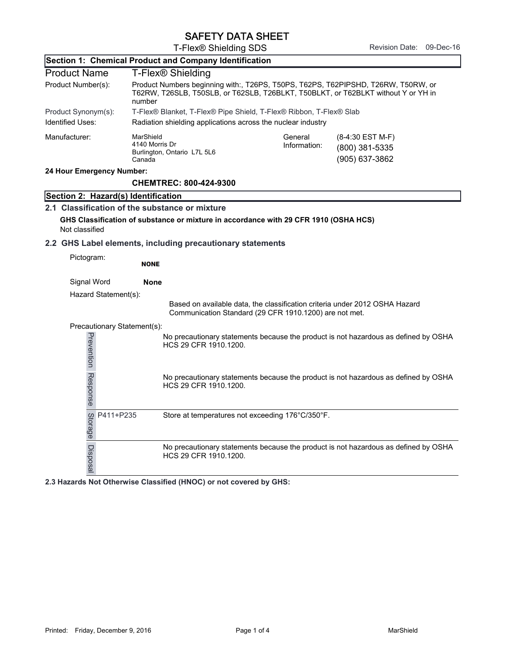T-Flex® Shielding SDS Revision Date: 09-Dec-16

| Section 1: Chemical Product and Company Identification |                                                                                                                                                                                  |                                                                                      |                                                        |                         |                                                                                     |
|--------------------------------------------------------|----------------------------------------------------------------------------------------------------------------------------------------------------------------------------------|--------------------------------------------------------------------------------------|--------------------------------------------------------|-------------------------|-------------------------------------------------------------------------------------|
|                                                        | <b>Product Name</b><br>T-Flex <sup>®</sup> Shielding                                                                                                                             |                                                                                      |                                                        |                         |                                                                                     |
| Product Number(s):                                     | Product Numbers beginning with:, T26PS, T50PS, T62PS, T62PIPSHD, T26RW, T50RW, or<br>T62RW, T26SLB, T50SLB, or T62SLB, T26BLKT, T50BLKT, or T62BLKT without Y or YH in<br>number |                                                                                      |                                                        |                         |                                                                                     |
|                                                        | Product Synonym(s):<br>T-Flex® Blanket, T-Flex® Pipe Shield, T-Flex® Ribbon, T-Flex® Slab                                                                                        |                                                                                      |                                                        |                         |                                                                                     |
| <b>Identified Uses:</b>                                |                                                                                                                                                                                  | Radiation shielding applications across the nuclear industry                         |                                                        |                         |                                                                                     |
| Manufacturer:                                          |                                                                                                                                                                                  | MarShield<br>4140 Morris Dr<br>Burlington, Ontario L7L 5L6<br>Canada                 |                                                        | General<br>Information: | (8-4:30 EST M-F)<br>(800) 381-5335<br>(905) 637-3862                                |
| 24 Hour Emergency Number:                              |                                                                                                                                                                                  |                                                                                      |                                                        |                         |                                                                                     |
|                                                        |                                                                                                                                                                                  | <b>CHEMTREC: 800-424-9300</b>                                                        |                                                        |                         |                                                                                     |
| Section 2: Hazard(s) Identification                    |                                                                                                                                                                                  |                                                                                      |                                                        |                         |                                                                                     |
|                                                        |                                                                                                                                                                                  | 2.1 Classification of the substance or mixture                                       |                                                        |                         |                                                                                     |
|                                                        |                                                                                                                                                                                  | GHS Classification of substance or mixture in accordance with 29 CFR 1910 (OSHA HCS) |                                                        |                         |                                                                                     |
| Not classified                                         |                                                                                                                                                                                  |                                                                                      |                                                        |                         |                                                                                     |
|                                                        |                                                                                                                                                                                  | 2.2 GHS Label elements, including precautionary statements                           |                                                        |                         |                                                                                     |
| Pictogram:                                             |                                                                                                                                                                                  | <b>NONE</b>                                                                          |                                                        |                         |                                                                                     |
| Signal Word                                            |                                                                                                                                                                                  | <b>None</b>                                                                          |                                                        |                         |                                                                                     |
|                                                        | Hazard Statement(s):                                                                                                                                                             |                                                                                      |                                                        |                         |                                                                                     |
|                                                        |                                                                                                                                                                                  |                                                                                      | Communication Standard (29 CFR 1910.1200) are not met. |                         | Based on available data, the classification criteria under 2012 OSHA Hazard         |
|                                                        | Precautionary Statement(s):                                                                                                                                                      |                                                                                      |                                                        |                         |                                                                                     |
| Prevention Response                                    |                                                                                                                                                                                  | HCS 29 CFR 1910.1200.                                                                |                                                        |                         | No precautionary statements because the product is not hazardous as defined by OSHA |
|                                                        |                                                                                                                                                                                  | HCS 29 CFR 1910.1200.                                                                |                                                        |                         | No precautionary statements because the product is not hazardous as defined by OSHA |
| Storage                                                | P411+P235                                                                                                                                                                        | Store at temperatures not exceeding 176°C/350°F.                                     |                                                        |                         |                                                                                     |
| Disposal                                               |                                                                                                                                                                                  | HCS 29 CFR 1910.1200.                                                                |                                                        |                         | No precautionary statements because the product is not hazardous as defined by OSHA |

**2.3 Hazards Not Otherwise Classified (HNOC) or not covered by GHS:**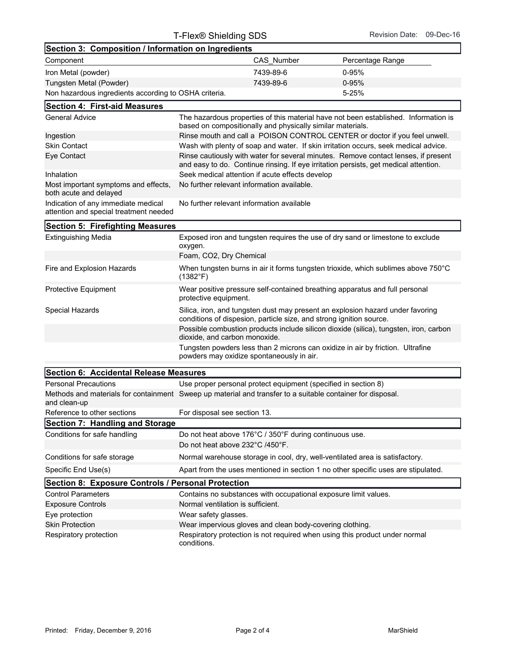| Section 3: Composition / Information on Ingredients                           |                                                 |                                                            |                                                                                                                                                                            |  |
|-------------------------------------------------------------------------------|-------------------------------------------------|------------------------------------------------------------|----------------------------------------------------------------------------------------------------------------------------------------------------------------------------|--|
| Component                                                                     |                                                 | CAS Number                                                 | Percentage Range                                                                                                                                                           |  |
| Iron Metal (powder)                                                           |                                                 | 7439-89-6                                                  | $0 - 95%$                                                                                                                                                                  |  |
| Tungsten Metal (Powder)                                                       |                                                 | 7439-89-6                                                  | $0 - 95%$                                                                                                                                                                  |  |
| Non hazardous ingredients according to OSHA criteria.                         |                                                 |                                                            | 5-25%                                                                                                                                                                      |  |
| <b>Section 4: First-aid Measures</b>                                          |                                                 |                                                            |                                                                                                                                                                            |  |
| <b>General Advice</b>                                                         |                                                 | based on compositionally and physically similar materials. | The hazardous properties of this material have not been established. Information is                                                                                        |  |
| Ingestion                                                                     |                                                 |                                                            | Rinse mouth and call a POISON CONTROL CENTER or doctor if you feel unwell.                                                                                                 |  |
| <b>Skin Contact</b>                                                           |                                                 |                                                            | Wash with plenty of soap and water. If skin irritation occurs, seek medical advice.                                                                                        |  |
| Eye Contact                                                                   |                                                 |                                                            | Rinse cautiously with water for several minutes. Remove contact lenses, if present<br>and easy to do. Continue rinsing. If eye irritation persists, get medical attention. |  |
| Inhalation                                                                    | Seek medical attention if acute effects develop |                                                            |                                                                                                                                                                            |  |
| Most important symptoms and effects,<br>both acute and delayed                | No further relevant information available.      |                                                            |                                                                                                                                                                            |  |
| Indication of any immediate medical<br>attention and special treatment needed | No further relevant information available       |                                                            |                                                                                                                                                                            |  |
| <b>Section 5: Firefighting Measures</b>                                       |                                                 |                                                            |                                                                                                                                                                            |  |
| <b>Extinguishing Media</b>                                                    | oxygen.                                         |                                                            | Exposed iron and tungsten requires the use of dry sand or limestone to exclude                                                                                             |  |
|                                                                               | Foam, CO2, Dry Chemical                         |                                                            |                                                                                                                                                                            |  |
| Fire and Explosion Hazards                                                    | $(1382^{\circ}F)$                               |                                                            | When tungsten burns in air it forms tungsten trioxide, which sublimes above 750°C                                                                                          |  |

| <b>Protective Equipment</b> | Wear positive pressure self-contained breathing apparatus and full personal<br>protective equipment.                                                  |
|-----------------------------|-------------------------------------------------------------------------------------------------------------------------------------------------------|
| Special Hazards             | Silica, iron, and tungsten dust may present an explosion hazard under favoring<br>conditions of dispesion, particle size, and strong ignition source. |
|                             | Possible combustion products include silicon dioxide (silica), tungsten, iron, carbon<br>dioxide, and carbon monoxide.                                |
|                             | Tungsten powders less than 2 microns can oxidize in air by friction. Ultrafine                                                                        |

powders may oxidize spontaneously in air.

| Section 6: Accidental Release Measures             |                                                                                                            |  |  |
|----------------------------------------------------|------------------------------------------------------------------------------------------------------------|--|--|
| <b>Personal Precautions</b>                        | Use proper personal protect equipment (specified in section 8)                                             |  |  |
| and clean-up                                       | Methods and materials for containment Sweep up material and transfer to a suitable container for disposal. |  |  |
| Reference to other sections                        | For disposal see section 13.                                                                               |  |  |
| Section 7: Handling and Storage                    |                                                                                                            |  |  |
| Conditions for safe handling                       | Do not heat above 176°C / 350°F during continuous use.                                                     |  |  |
|                                                    | Do not heat above 232°C /450°F.                                                                            |  |  |
| Conditions for safe storage                        | Normal warehouse storage in cool, dry, well-ventilated area is satisfactory.                               |  |  |
| Specific End Use(s)                                | Apart from the uses mentioned in section 1 no other specific uses are stipulated.                          |  |  |
| Section 8: Exposure Controls / Personal Protection |                                                                                                            |  |  |
| <b>Control Parameters</b>                          | Contains no substances with occupational exposure limit values.                                            |  |  |
| <b>Exposure Controls</b>                           | Normal ventilation is sufficient.                                                                          |  |  |
| Eye protection                                     | Wear safety glasses.                                                                                       |  |  |
| <b>Skin Protection</b>                             | Wear impervious gloves and clean body-covering clothing.                                                   |  |  |
| Respiratory protection                             | Respiratory protection is not required when using this product under normal<br>conditions.                 |  |  |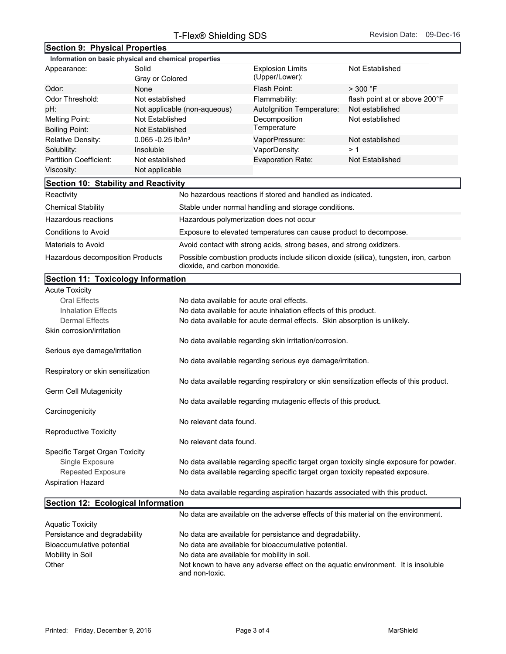## **Section 9: Physical Properties**

|                                      | Information on basic physical and chemical properties |                                                            |                               |
|--------------------------------------|-------------------------------------------------------|------------------------------------------------------------|-------------------------------|
| Appearance:                          | Solid<br>Gray or Colored                              | <b>Explosion Limits</b><br>(Upper/Lower):                  | Not Established               |
| Odor:                                | None                                                  | Flash Point:                                               | $>$ 300 °F                    |
| Odor Threshold:                      | Not established                                       | Flammability:                                              | flash point at or above 200°F |
| pH:                                  | Not applicable (non-aqueous)                          | Autolgnition Temperature:                                  | Not established               |
| Melting Point:                       | Not Established                                       | Decomposition                                              | Not established               |
| <b>Boiling Point:</b>                | Not Established                                       | Temperature                                                |                               |
| Relative Density:                    | $0.065 - 0.25$ lb/in <sup>3</sup>                     | VaporPressure:                                             | Not established               |
| Solubility:                          | Insoluble                                             | VaporDensity:                                              | >1                            |
| Partition Coefficient:               | Not established                                       | Evaporation Rate:                                          | Not Established               |
| Viscosity:                           | Not applicable                                        |                                                            |                               |
| Section 10: Stability and Reactivity |                                                       |                                                            |                               |
| Reactivity                           |                                                       | No hazardous reactions if stored and handled as indicated. |                               |
| <b>Chemical Stability</b>            | Stable under normal handling and storage conditions.  |                                                            |                               |
|                                      |                                                       |                                                            |                               |

|                                  | because and on normal nanamig and otorage conditions.                                                                  |
|----------------------------------|------------------------------------------------------------------------------------------------------------------------|
| Hazardous reactions              | Hazardous polymerization does not occur                                                                                |
| Conditions to Avoid              | Exposure to elevated temperatures can cause product to decompose.                                                      |
| Materials to Avoid               | Avoid contact with strong acids, strong bases, and strong oxidizers.                                                   |
| Hazardous decomposition Products | Possible combustion products include silicon dioxide (silica), tungsten, iron, carbon<br>dioxide, and carbon monoxide. |

## **Section 11: Toxicology Information**

| <b>Section 11: Toxicology Information</b> |                                                                                                    |
|-------------------------------------------|----------------------------------------------------------------------------------------------------|
| <b>Acute Toxicity</b>                     |                                                                                                    |
| <b>Oral Effects</b>                       | No data available for acute oral effects.                                                          |
| <b>Inhalation Effects</b>                 | No data available for acute inhalation effects of this product.                                    |
| <b>Dermal Effects</b>                     | No data available for acute dermal effects. Skin absorption is unlikely.                           |
| Skin corrosion/irritation                 |                                                                                                    |
|                                           | No data available regarding skin irritation/corrosion.                                             |
| Serious eye damage/irritation             |                                                                                                    |
|                                           | No data available regarding serious eye damage/irritation.                                         |
| Respiratory or skin sensitization         |                                                                                                    |
|                                           | No data available regarding respiratory or skin sensitization effects of this product.             |
| Germ Cell Mutagenicity                    |                                                                                                    |
|                                           | No data available regarding mutagenic effects of this product.                                     |
| Carcinogenicity                           |                                                                                                    |
|                                           | No relevant data found.                                                                            |
| <b>Reproductive Toxicity</b>              |                                                                                                    |
|                                           | No relevant data found.                                                                            |
| Specific Target Organ Toxicity            |                                                                                                    |
| Single Exposure                           | No data available regarding specific target organ toxicity single exposure for powder.             |
| <b>Repeated Exposure</b>                  | No data available regarding specific target organ toxicity repeated exposure.                      |
| <b>Aspiration Hazard</b>                  |                                                                                                    |
|                                           | No data available regarding aspiration hazards associated with this product.                       |
| Section 12: Ecological Information        |                                                                                                    |
|                                           | No data are available on the adverse effects of this material on the environment.                  |
| <b>Aquatic Toxicity</b>                   |                                                                                                    |
| Persistance and degradability             | No data are available for persistance and degradability.                                           |
| Bioaccumulative potential                 | No data are available for bioaccumulative potential.                                               |
| Mobility in Soil                          | No data are available for mobility in soil.                                                        |
| Other                                     | Not known to have any adverse effect on the aquatic environment. It is insoluble<br>and non-toxic. |